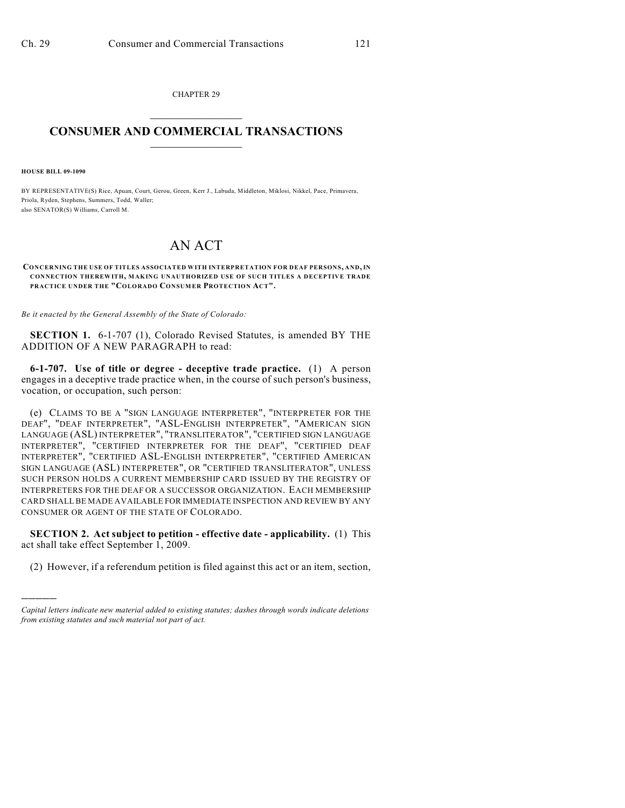CHAPTER 29  $\mathcal{L}_\text{max}$  . The set of the set of the set of the set of the set of the set of the set of the set of the set of the set of the set of the set of the set of the set of the set of the set of the set of the set of the set

## **CONSUMER AND COMMERCIAL TRANSACTIONS**  $\frac{1}{2}$  ,  $\frac{1}{2}$  ,  $\frac{1}{2}$  ,  $\frac{1}{2}$  ,  $\frac{1}{2}$  ,  $\frac{1}{2}$

**HOUSE BILL 09-1090**

)))))

BY REPRESENTATIVE(S) Rice, Apuan, Court, Gerou, Green, Kerr J., Labuda, Middleton, Miklosi, Nikkel, Pace, Primavera, Priola, Ryden, Stephens, Summers, Todd, Waller; also SENATOR(S) Williams, Carroll M.

## AN ACT

## **CONCERNING THE USE OF TITLES ASSOCIATED WITH INTERPRETATION FOR DEAF PERSONS, AND, IN CONNECTION THEREWITH, MAKING UNAUTHORIZED USE OF SUCH TITLES A DECEPTIVE TRADE PRACTICE UNDER THE "COLORADO CONSUMER PROTECTION ACT".**

*Be it enacted by the General Assembly of the State of Colorado:*

**SECTION 1.** 6-1-707 (1), Colorado Revised Statutes, is amended BY THE ADDITION OF A NEW PARAGRAPH to read:

**6-1-707. Use of title or degree - deceptive trade practice.** (1) A person engages in a deceptive trade practice when, in the course of such person's business, vocation, or occupation, such person:

(e) CLAIMS TO BE A "SIGN LANGUAGE INTERPRETER", "INTERPRETER FOR THE DEAF", "DEAF INTERPRETER", "ASL-ENGLISH INTERPRETER", "AMERICAN SIGN LANGUAGE (ASL) INTERPRETER", "TRANSLITERATOR", "CERTIFIED SIGN LANGUAGE INTERPRETER", "CERTIFIED INTERPRETER FOR THE DEAF", "CERTIFIED DEAF INTERPRETER", "CERTIFIED ASL-ENGLISH INTERPRETER", "CERTIFIED AMERICAN SIGN LANGUAGE (ASL) INTERPRETER", OR "CERTIFIED TRANSLITERATOR", UNLESS SUCH PERSON HOLDS A CURRENT MEMBERSHIP CARD ISSUED BY THE REGISTRY OF INTERPRETERS FOR THE DEAF OR A SUCCESSOR ORGANIZATION. EACH MEMBERSHIP CARD SHALL BE MADE AVAILABLE FOR IMMEDIATE INSPECTION AND REVIEW BY ANY CONSUMER OR AGENT OF THE STATE OF COLORADO.

**SECTION 2. Act subject to petition - effective date - applicability.** (1) This act shall take effect September 1, 2009.

(2) However, if a referendum petition is filed against this act or an item, section,

*Capital letters indicate new material added to existing statutes; dashes through words indicate deletions from existing statutes and such material not part of act.*